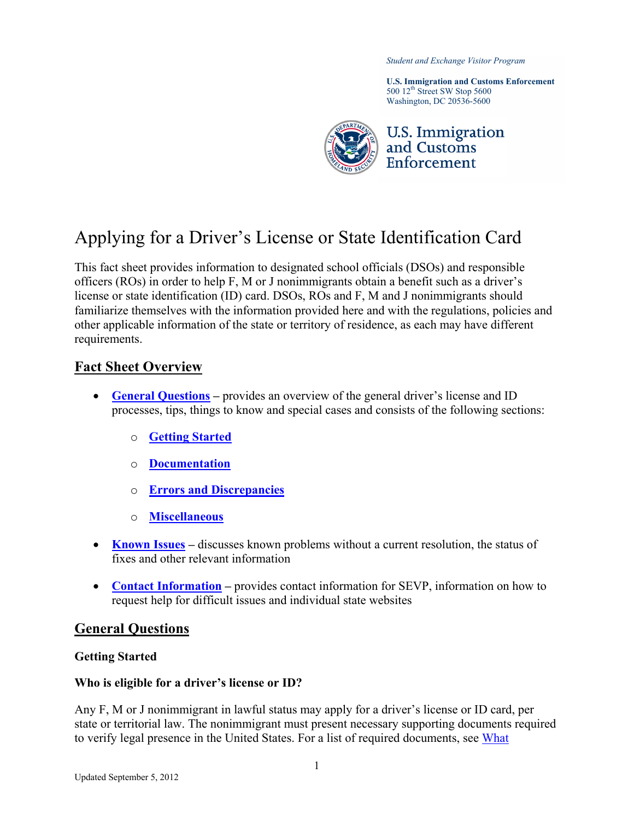*Student and Exchange Visitor Program*

**U.S. Immigration and Customs Enforcement** 500 12<sup>th</sup> Street SW Stop 5600 Washington, DC 20536-5600



# Applying for a Driver's License or State Identification Card

This fact sheet provides information to designated school officials (DSOs) and responsible officers (ROs) in order to help F, M or J nonimmigrants obtain a benefit such as a driver's license or state identification (ID) card. DSOs, ROs and F, M and J nonimmigrants should familiarize themselves with the information provided here and with the regulations, policies and other applicable information of the state or territory of residence, as each may have different requirements.

## **Fact Sheet Overview**

- **General Questions** provides an overview of the general driver's license and ID processes, tips, things to know and special cases and consists of the following sections:
	- o **[Getting Started](#page-0-1)**
	- o **[Documentation](#page-2-0)**
	- o **[Errors and Discrepancies](#page-4-0)**
	- o **[Miscellaneous](#page-5-0)**
- **[Known Issues](#page-6-0)** discusses known problems without a current resolution, the status of fixes and other relevant information
- **[Contact Information](#page-8-0)** provides contact information for SEVP, information on how to request help for difficult issues and individual state websites

#### <span id="page-0-0"></span>**General Questions**

#### <span id="page-0-1"></span>**Getting Started**

#### **Who is eligible for a driver's license or ID?**

Any F, M or J nonimmigrant in lawful status may apply for a driver's license or ID card, per state or territorial law. The nonimmigrant must present necessary supporting documents required to verify legal presence in the United States. For a list of required documents, see What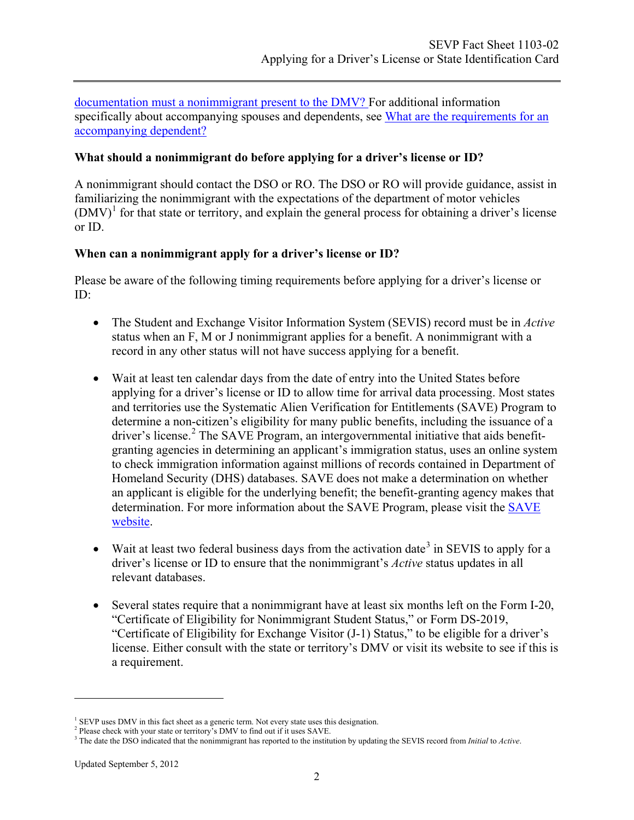[documentation must a nonimmigrant present to the DMV?](#page-2-0) For additional information specifically about accompanying spouses and dependents, see [What are the requirements for an](#page-3-0)  [accompanying dependent?](#page-3-0)

#### **What should a nonimmigrant do before applying for a driver's license or ID?**

A nonimmigrant should contact the DSO or RO. The DSO or RO will provide guidance, assist in familiarizing the nonimmigrant with the expectations of the department of motor vehicles  $(DMV)^1$  $(DMV)^1$  for that state or territory, and explain the general process for obtaining a driver's license or ID.

#### **When can a nonimmigrant apply for a driver's license or ID?**

Please be aware of the following timing requirements before applying for a driver's license or ID:

- The Student and Exchange Visitor Information System (SEVIS) record must be in *Active* status when an F, M or J nonimmigrant applies for a benefit. A nonimmigrant with a record in any other status will not have success applying for a benefit.
- Wait at least ten calendar days from the date of entry into the United States before applying for a driver's license or ID to allow time for arrival data processing. Most states and territories use the Systematic Alien Verification for Entitlements (SAVE) Program to determine a non-citizen's eligibility for many public benefits, including the issuance of a driver's license.<sup>[2](#page-1-1)</sup> The SAVE Program, an intergovernmental initiative that aids benefitgranting agencies in determining an applicant's immigration status, uses an online system to check immigration information against millions of records contained in Department of Homeland Security (DHS) databases. SAVE does not make a determination on whether an applicant is eligible for the underlying benefit; the benefit-granting agency makes that determination. For more information about the [SAVE](http://www.uscis.gov/SAVE) Program, please visit the SAVE [website.](http://www.uscis.gov/SAVE)
- Wait at least two federal business days from the activation date<sup>[3](#page-1-2)</sup> in SEVIS to apply for a driver's license or ID to ensure that the nonimmigrant's *Active* status updates in all relevant databases.
- Several states require that a nonimmigrant have at least six months left on the Form I-20, "Certificate of Eligibility for Nonimmigrant Student Status," or Form DS-2019, "Certificate of Eligibility for Exchange Visitor (J-1) Status," to be eligible for a driver's license. Either consult with the state or territory's DMV or visit its website to see if this is a requirement.

 $\overline{a}$ 

<sup>&</sup>lt;sup>1</sup> SEVP uses DMV in this fact sheet as a generic term. Not every state uses this designation.

<span id="page-1-1"></span><span id="page-1-0"></span><sup>&</sup>lt;sup>2</sup> Please check with your state or territory's DMV to find out if it uses SAVE.

<span id="page-1-2"></span><sup>3</sup> The date the DSO indicated that the nonimmigrant has reported to the institution by updating the SEVIS record from *Initial* to *Active*.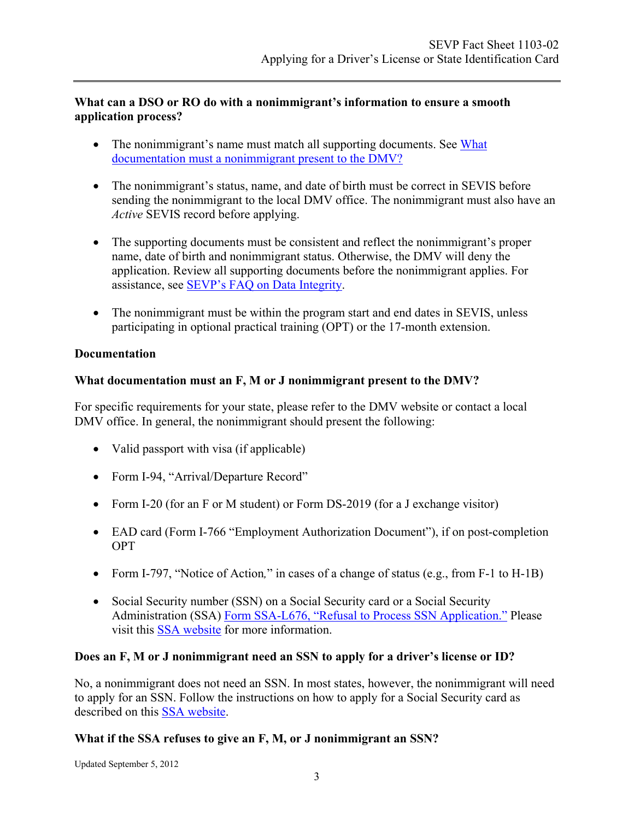#### **What can a DSO or RO do with a nonimmigrant's information to ensure a smooth application process?**

- The nonimmigrant's name must match all supporting documents. See What [documentation must a nonimmigrant present to the DMV?](#page-2-0)
- The nonimmigrant's status, name, and date of birth must be correct in SEVIS before sending the nonimmigrant to the local DMV office. The nonimmigrant must also have an *Active* SEVIS record before applying.
- The supporting documents must be consistent and reflect the nonimmigrant's proper name, date of birth and nonimmigrant status. Otherwise, the DMV will deny the application. Review all supporting documents before the nonimmigrant applies. For assistance, see [SEVP's FAQ on Data](http://www.ice.gov/sevis/faqs/data_integrity.htm) Integrity.
- The nonimmigrant must be within the program start and end dates in SEVIS, unless participating in optional practical training (OPT) or the 17-month extension.

# <span id="page-2-0"></span>**Documentation**

## **What documentation must an F, M or J nonimmigrant present to the DMV?**

For specific requirements for your state, please refer to the DMV website or contact a local DMV office. In general, the nonimmigrant should present the following:

- Valid passport with visa (if applicable)
- Form I-94, "Arrival/Departure Record"
- Form I-20 (for an F or M student) or Form DS-2019 (for a J exchange visitor)
- EAD card (Form I-766 "Employment Authorization Document"), if on post-completion OPT
- Form I-797, "Notice of Action*,*" in cases of a change of status (e.g., from F-1 to H-1B)
- Social Security number (SSN) on a Social Security card or a Social Security Administration (SSA) Form SSA-L676, ["Refusal to Process SSN Application."](https://secure.ssa.gov/apps10/poms.nsf/lnx/0100299020) Please visit this [SSA website](http://www.ssa.gov/pubs/10096.html) for more information.

# **Does an F, M or J nonimmigrant need an SSN to apply for a driver's license or ID?**

No, a nonimmigrant does not need an SSN. In most states, however, the nonimmigrant will need to apply for an SSN. Follow the instructions on how to apply for a Social Security card as described on this [SSA website.](http://www.ssa.gov/pubs/10096.html#3)

# **What if the SSA refuses to give an F, M, or J nonimmigrant an SSN?**

Updated September 5, 2012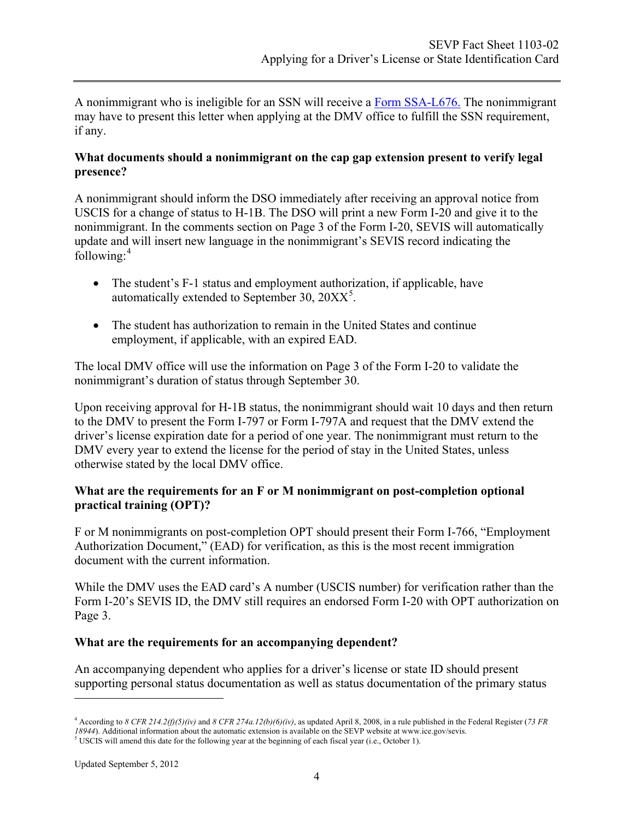A nonimmigrant who is ineligible for an SSN will receive a [Form SSA-L676.](https://secure.ssa.gov/apps10/poms.nsf/lnx/0100299020) The nonimmigrant may have to present this letter when applying at the DMV office to fulfill the SSN requirement, if any.

#### **What documents should a nonimmigrant on the cap gap extension present to verify legal presence?**

A nonimmigrant should inform the DSO immediately after receiving an approval notice from USCIS for a change of status to H-1B. The DSO will print a new Form I-20 and give it to the nonimmigrant. In the comments section on Page 3 of the Form I-20, SEVIS will automatically update and will insert new language in the nonimmigrant's SEVIS record indicating the following: [4](#page-3-1)

- The student's F-1 status and employment authorization, if applicable, have automatically extended to September 30,  $20XX^5$  $20XX^5$ .
- The student has authorization to remain in the United States and continue employment, if applicable, with an expired EAD.

The local DMV office will use the information on Page 3 of the Form I-20 to validate the nonimmigrant's duration of status through September 30.

Upon receiving approval for H-1B status, the nonimmigrant should wait 10 days and then return to the DMV to present the Form I-797 or Form I-797A and request that the DMV extend the driver's license expiration date for a period of one year. The nonimmigrant must return to the DMV every year to extend the license for the period of stay in the United States, unless otherwise stated by the local DMV office.

#### **What are the requirements for an F or M nonimmigrant on post-completion optional practical training (OPT)?**

F or M nonimmigrants on post-completion OPT should present their Form I-766, "Employment Authorization Document," (EAD) for verification, as this is the most recent immigration document with the current information.

While the DMV uses the EAD card's A number (USCIS number) for verification rather than the Form I-20's SEVIS ID, the DMV still requires an endorsed Form I-20 with OPT authorization on Page 3.

# <span id="page-3-0"></span>**What are the requirements for an accompanying dependent?**

An accompanying dependent who applies for a driver's license or state ID should present supporting personal status documentation as well as status documentation of the primary status

 $\overline{a}$ 

<span id="page-3-1"></span><sup>4</sup> According to *8 CFR 214.2(f)(5)(iv)* and *8 CFR 274a.12(b)(6)(iv)*, as updated April 8, 2008, in a rule published in the Federal Register (*73 FR 18944*). Additional information about the automatic extension is available on the SEVP website a[t www.ice.gov/sevis.](http://www.ice.gov/sevis)

<span id="page-3-2"></span> $5$  USCIS will amend this date for the following year at the beginning of each fiscal year (i.e., October 1).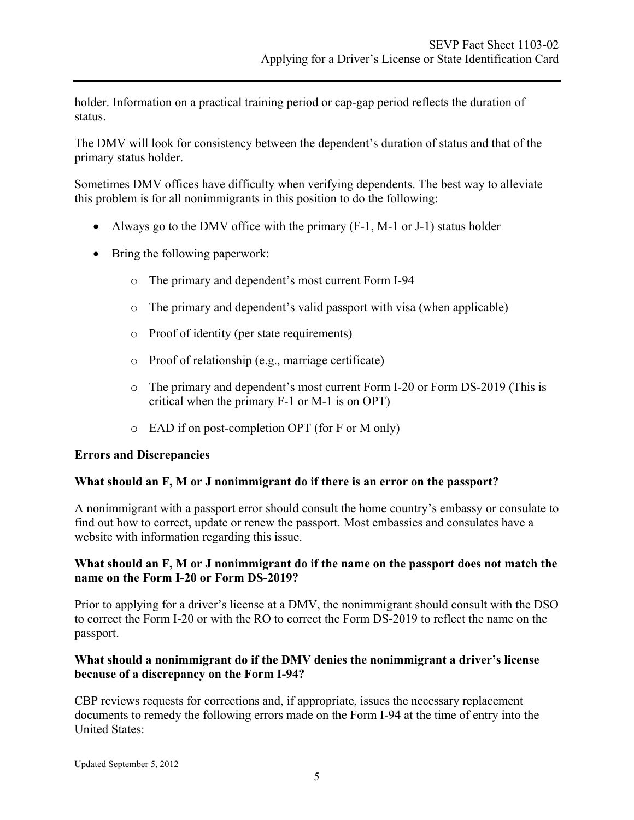holder. Information on a practical training period or cap-gap period reflects the duration of status.

The DMV will look for consistency between the dependent's duration of status and that of the primary status holder.

Sometimes DMV offices have difficulty when verifying dependents. The best way to alleviate this problem is for all nonimmigrants in this position to do the following:

- Always go to the DMV office with the primary  $(F-1, M-1)$  or J-1) status holder
- Bring the following paperwork:
	- o The primary and dependent's most current Form I-94
	- o The primary and dependent's valid passport with visa (when applicable)
	- o Proof of identity (per state requirements)
	- o Proof of relationship (e.g., marriage certificate)
	- o The primary and dependent's most current Form I-20 or Form DS-2019 (This is critical when the primary F-1 or M-1 is on OPT)
	- o EAD if on post-completion OPT (for F or M only)

#### <span id="page-4-0"></span>**Errors and Discrepancies**

#### **What should an F, M or J nonimmigrant do if there is an error on the passport?**

A nonimmigrant with a passport error should consult the home country's embassy or consulate to find out how to correct, update or renew the passport. Most embassies and consulates have a website with information regarding this issue.

#### **What should an F, M or J nonimmigrant do if the name on the passport does not match the name on the Form I-20 or Form DS-2019?**

Prior to applying for a driver's license at a DMV, the nonimmigrant should consult with the DSO to correct the Form I-20 or with the RO to correct the Form DS-2019 to reflect the name on the passport.

#### **What should a nonimmigrant do if the DMV denies the nonimmigrant a driver's license because of a discrepancy on the Form I-94?**

CBP reviews requests for corrections and, if appropriate, issues the necessary replacement documents to remedy the following errors made on the Form I-94 at the time of entry into the United States: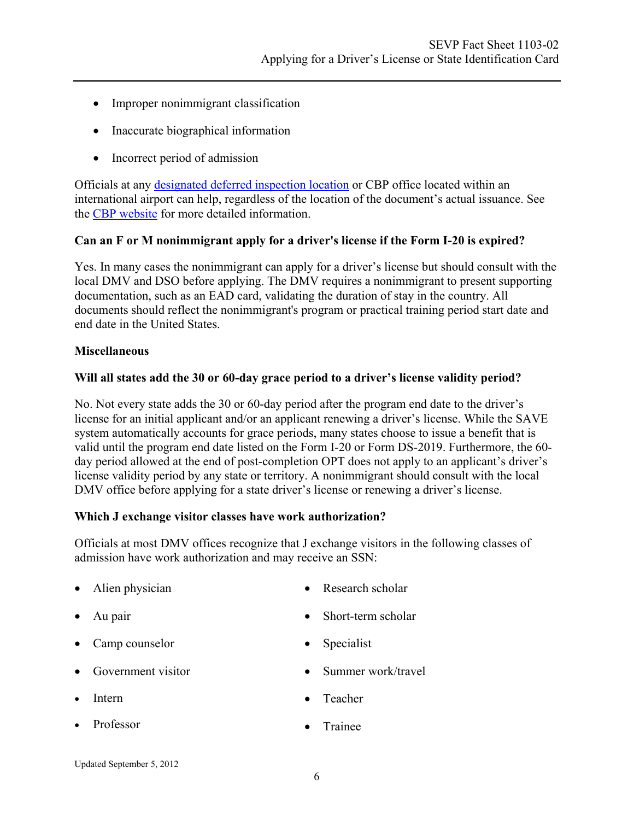- Improper nonimmigrant classification
- Inaccurate biographical information
- Incorrect period of admission

Officials at any [designated deferred inspection location](http://www.cbp.gov/xp/cgov/toolbox/contacts/deferred_inspection/) or CBP office located within an international airport can help, regardless of the location of the document's actual issuance. See the [CBP website](http://www.cbp.gov/xp/cgov/travel/id_visa/i-94_instructions/) for more detailed information.

#### **Can an F or M nonimmigrant apply for a driver's license if the Form I-20 is expired?**

Yes. In many cases the nonimmigrant can apply for a driver's license but should consult with the local DMV and DSO before applying. The DMV requires a nonimmigrant to present supporting documentation, such as an EAD card, validating the duration of stay in the country. All documents should reflect the nonimmigrant's program or practical training period start date and end date in the United States.

#### <span id="page-5-0"></span>**Miscellaneous**

#### **Will all states add the 30 or 60-day grace period to a driver's license validity period?**

No. Not every state adds the 30 or 60-day period after the program end date to the driver's license for an initial applicant and/or an applicant renewing a driver's license. While the SAVE system automatically accounts for grace periods, many states choose to issue a benefit that is valid until the program end date listed on the Form I-20 or Form DS-2019. Furthermore, the 60 day period allowed at the end of post-completion OPT does not apply to an applicant's driver's license validity period by any state or territory. A nonimmigrant should consult with the local DMV office before applying for a state driver's license or renewing a driver's license.

#### **Which J exchange visitor classes have work authorization?**

Officials at most DMV offices recognize that J exchange visitors in the following classes of admission have work authorization and may receive an SSN:

- Alien physician
- Au pair
- Camp counselor
- Government visitor
- Intern
- Professor
- Research scholar
- Short-term scholar
- Specialist
- Summer work/travel
- Teacher
- Trainee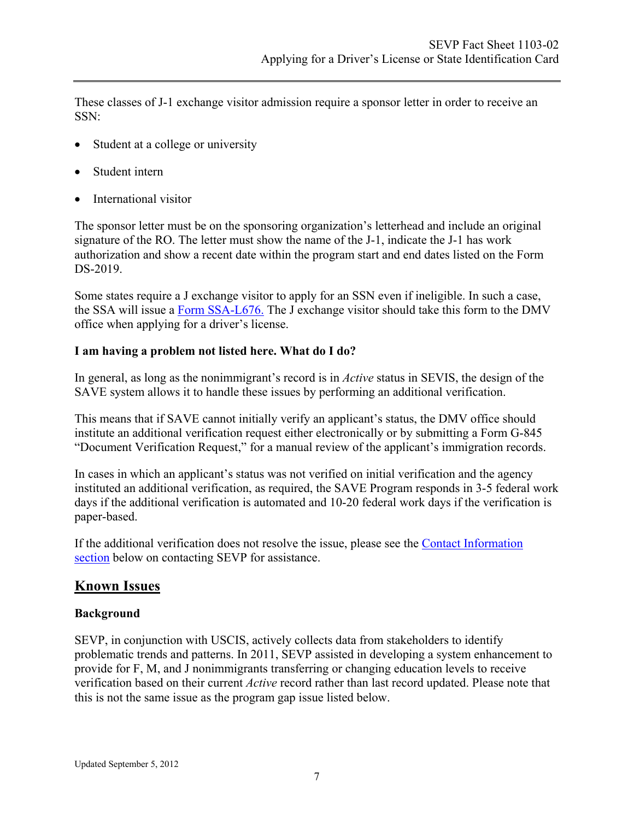These classes of J-1 exchange visitor admission require a sponsor letter in order to receive an SSN:

- Student at a college or university
- Student intern
- International visitor

The sponsor letter must be on the sponsoring organization's letterhead and include an original signature of the RO. The letter must show the name of the J-1, indicate the J-1 has work authorization and show a recent date within the program start and end dates listed on the Form DS-2019.

Some states require a J exchange visitor to apply for an SSN even if ineligible. In such a case, the SSA will issue a [Form SSA-L676.](https://secure.ssa.gov/apps10/poms.nsf/lnx/0100299020) The J exchange visitor should take this form to the DMV office when applying for a driver's license.

#### **I am having a problem not listed here. What do I do?**

In general, as long as the nonimmigrant's record is in *Active* status in SEVIS, the design of the SAVE system allows it to handle these issues by performing an additional verification.

This means that if SAVE cannot initially verify an applicant's status, the DMV office should institute an additional verification request either electronically or by submitting a Form G-845 "Document Verification Request," for a manual review of the applicant's immigration records.

In cases in which an applicant's status was not verified on initial verification and the agency instituted an additional verification, as required, the SAVE Program responds in 3-5 federal work days if the additional verification is automated and 10-20 federal work days if the verification is paper-based.

If the additional verification does not resolve the issue, please see the [Contact Information](#page-8-0)  [section](#page-8-0) below on contacting SEVP for assistance.

# <span id="page-6-0"></span>**Known Issues**

#### **Background**

SEVP, in conjunction with USCIS, actively collects data from stakeholders to identify problematic trends and patterns. In 2011, SEVP assisted in developing a system enhancement to provide for F, M, and J nonimmigrants transferring or changing education levels to receive verification based on their current *Active* record rather than last record updated. Please note that this is not the same issue as the program gap issue listed below.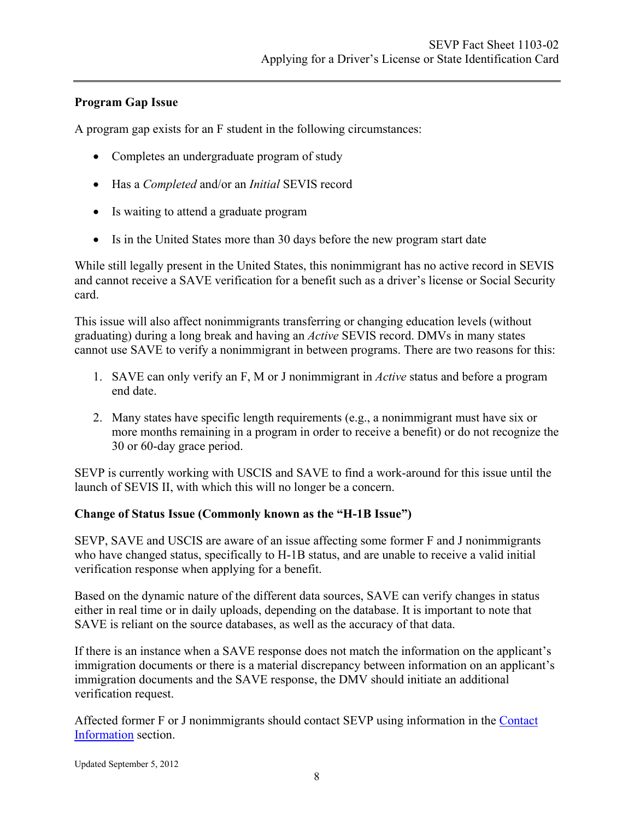# **Program Gap Issue**

A program gap exists for an F student in the following circumstances:

- Completes an undergraduate program of study
- Has a *Completed* and/or an *Initial* SEVIS record
- Is waiting to attend a graduate program
- Is in the United States more than 30 days before the new program start date

While still legally present in the United States, this nonimmigrant has no active record in SEVIS and cannot receive a SAVE verification for a benefit such as a driver's license or Social Security card.

This issue will also affect nonimmigrants transferring or changing education levels (without graduating) during a long break and having an *Active* SEVIS record. DMVs in many states cannot use SAVE to verify a nonimmigrant in between programs. There are two reasons for this:

- 1. SAVE can only verify an F, M or J nonimmigrant in *Active* status and before a program end date.
- 2. Many states have specific length requirements (e.g., a nonimmigrant must have six or more months remaining in a program in order to receive a benefit) or do not recognize the 30 or 60-day grace period.

SEVP is currently working with USCIS and SAVE to find a work-around for this issue until the launch of SEVIS II, with which this will no longer be a concern.

#### **Change of Status Issue (Commonly known as the "H-1B Issue")**

SEVP, SAVE and USCIS are aware of an issue affecting some former F and J nonimmigrants who have changed status, specifically to H-1B status, and are unable to receive a valid initial verification response when applying for a benefit.

Based on the dynamic nature of the different data sources, SAVE can verify changes in status either in real time or in daily uploads, depending on the database. It is important to note that SAVE is reliant on the source databases, as well as the accuracy of that data.

If there is an instance when a SAVE response does not match the information on the applicant's immigration documents or there is a material discrepancy between information on an applicant's immigration documents and the SAVE response, the DMV should initiate an additional verification request.

Affected former F or J nonimmigrants should contact SEVP using information in the [Contact](#page-8-0)  [Information](#page-8-0) section.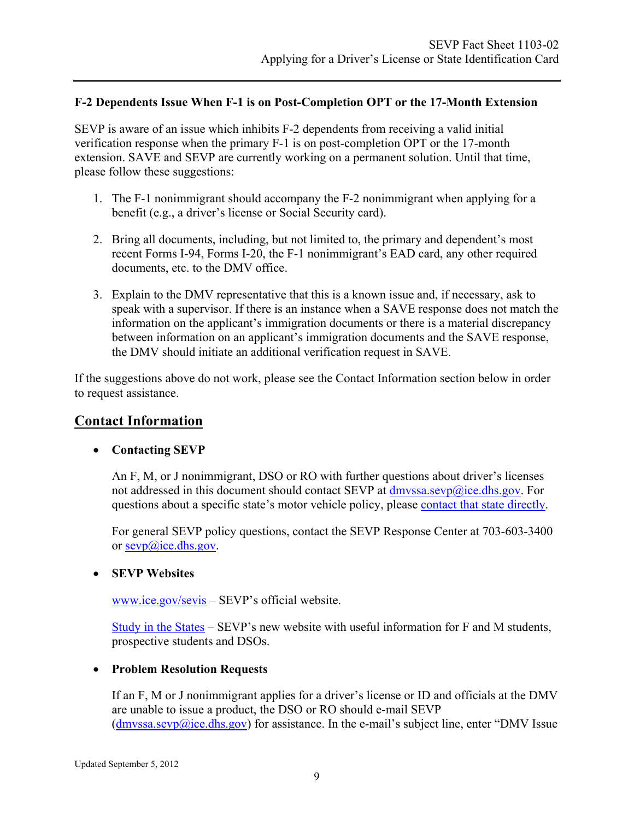#### **F-2 Dependents Issue When F-1 is on Post-Completion OPT or the 17-Month Extension**

SEVP is aware of an issue which inhibits F-2 dependents from receiving a valid initial verification response when the primary F-1 is on post-completion OPT or the 17-month extension. SAVE and SEVP are currently working on a permanent solution. Until that time, please follow these suggestions:

- 1. The F-1 nonimmigrant should accompany the F-2 nonimmigrant when applying for a benefit (e.g., a driver's license or Social Security card).
- 2. Bring all documents, including, but not limited to, the primary and dependent's most recent Forms I-94, Forms I-20, the F-1 nonimmigrant's EAD card, any other required documents, etc. to the DMV office.
- 3. Explain to the DMV representative that this is a known issue and, if necessary, ask to speak with a supervisor. If there is an instance when a SAVE response does not match the information on the applicant's immigration documents or there is a material discrepancy between information on an applicant's immigration documents and the SAVE response, the DMV should initiate an additional verification request in SAVE.

If the suggestions above do not work, please see the Contact Information section below in order to request assistance.

# <span id="page-8-0"></span>**Contact Information**

#### • **Contacting SEVP**

An F, M, or J nonimmigrant, DSO or RO with further questions about driver's licenses not addressed in this document should contact SEVP at dmyssa.sevp@ice.dhs.gov. For questions about a specific state's motor vehicle policy, please [contact that state directly.](#page-9-0)

For general SEVP policy questions, contact the SEVP Response Center at 703-603-3400 or [sevp@ice.dhs.gov.](mailto:sevp@ice.dhs.gov)

#### • **SEVP Websites**

[www.ice.gov/sevis](http://www.ice.gov/sevis) – SEVP's official website.

[Study in the States](http://studyinthestates.dhs.gov/) – SEVP's new website with useful information for F and M students, prospective students and DSOs.

#### • **Problem Resolution Requests**

If an F, M or J nonimmigrant applies for a driver's license or ID and officials at the DMV are unable to issue a product, the DSO or RO should e-mail SEVP  $(d$ mvssa.sevp $@$ ice.dhs.gov) for assistance. In the e-mail's subject line, enter "DMV Issue